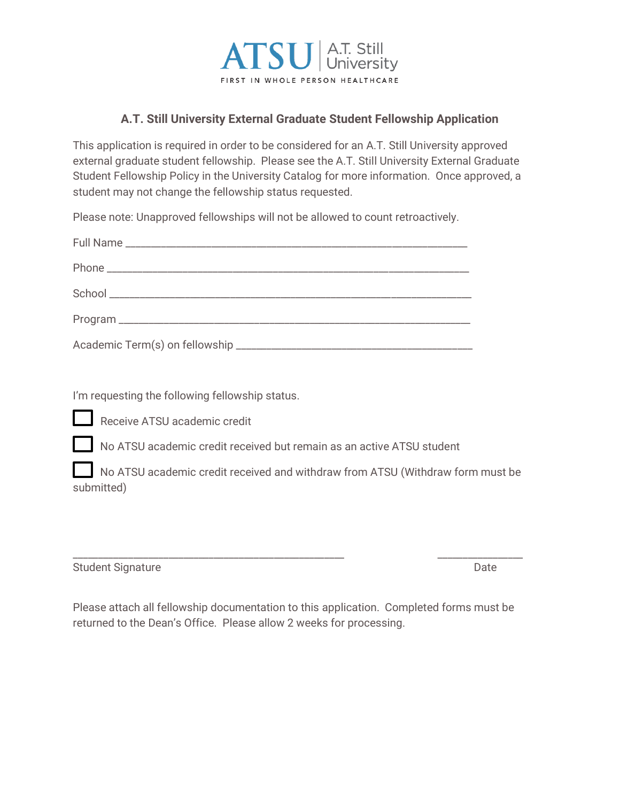

## **A.T. Still University External Graduate Student Fellowship Application**

This application is required in order to be considered for an A.T. Still University approved external graduate student fellowship. Please see the A.T. Still University External Graduate Student Fellowship Policy in the University Catalog for more information. Once approved, a student may not change the fellowship status requested.

Please note: Unapproved fellowships will not be allowed to count retroactively.

I'm requesting the following fellowship status.

Receive ATSU academic credit

No ATSU academic credit received but remain as an active ATSU student

 No ATSU academic credit received and withdraw from ATSU (Withdraw form must be submitted)

| <b>Student Signature</b> | Date |
|--------------------------|------|
|--------------------------|------|

Please attach all fellowship documentation to this application. Completed forms must be returned to the Dean's Office. Please allow 2 weeks for processing.

\_\_\_\_\_\_\_\_\_\_\_\_\_\_\_\_\_\_\_\_\_\_\_\_\_\_\_\_\_\_\_\_\_\_\_\_\_\_\_\_\_\_\_\_\_\_\_\_\_\_\_\_\_\_ \_\_\_\_\_\_\_\_\_\_\_\_\_\_\_\_\_